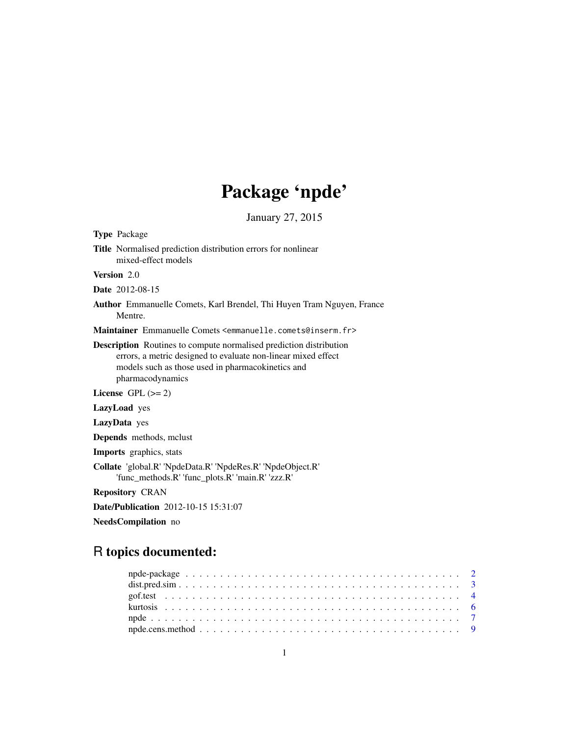# Package 'npde'

January 27, 2015

<span id="page-0-0"></span>

NeedsCompilation no

## R topics documented: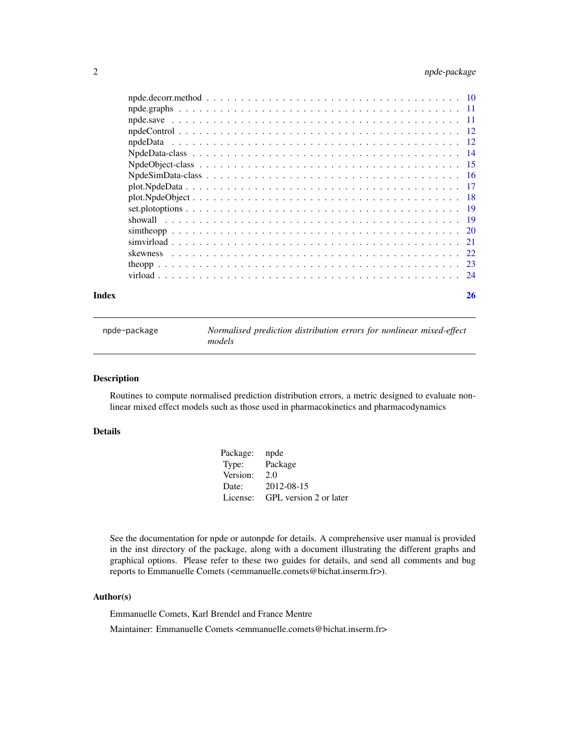## <span id="page-1-0"></span>2 npde-package

| Index |                                                                                                                   | 26 |
|-------|-------------------------------------------------------------------------------------------------------------------|----|
|       |                                                                                                                   |    |
|       |                                                                                                                   |    |
|       |                                                                                                                   |    |
|       |                                                                                                                   |    |
|       |                                                                                                                   |    |
|       |                                                                                                                   |    |
|       |                                                                                                                   |    |
|       |                                                                                                                   |    |
|       |                                                                                                                   |    |
|       | $NpdeSimData-class \ldots \ldots \ldots \ldots \ldots \ldots \ldots \ldots \ldots \ldots \ldots \ldots \ldots 16$ |    |
|       |                                                                                                                   |    |
|       |                                                                                                                   |    |
|       |                                                                                                                   |    |
|       |                                                                                                                   |    |
|       |                                                                                                                   |    |
|       |                                                                                                                   |    |
|       |                                                                                                                   |    |

npde-package *Normalised prediction distribution errors for nonlinear mixed-effect models*

### Description

Routines to compute normalised prediction distribution errors, a metric designed to evaluate nonlinear mixed effect models such as those used in pharmacokinetics and pharmacodynamics

### Details

| Package: | npde                   |
|----------|------------------------|
| Type:    | Package                |
| Version: | 2.0                    |
| Date:    | 2012-08-15             |
| License: | GPL version 2 or later |

See the documentation for npde or autonpde for details. A comprehensive user manual is provided in the inst directory of the package, along with a document illustrating the different graphs and graphical options. Please refer to these two guides for details, and send all comments and bug reports to Emmanuelle Comets (<emmanuelle.comets@bichat.inserm.fr>).

### Author(s)

Emmanuelle Comets, Karl Brendel and France Mentre

Maintainer: Emmanuelle Comets <emmanuelle.comets@bichat.inserm.fr>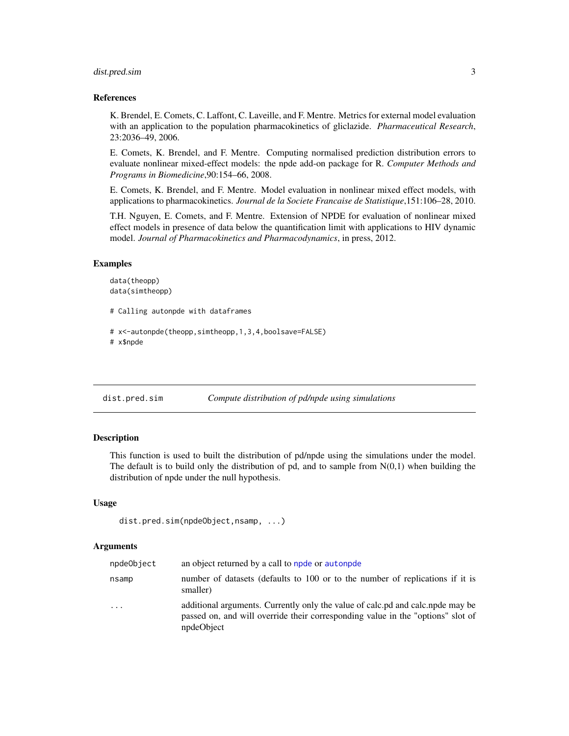### <span id="page-2-0"></span>dist.pred.sim 3

#### References

K. Brendel, E. Comets, C. Laffont, C. Laveille, and F. Mentre. Metrics for external model evaluation with an application to the population pharmacokinetics of gliclazide. *Pharmaceutical Research*, 23:2036–49, 2006.

E. Comets, K. Brendel, and F. Mentre. Computing normalised prediction distribution errors to evaluate nonlinear mixed-effect models: the npde add-on package for R. *Computer Methods and Programs in Biomedicine*,90:154–66, 2008.

E. Comets, K. Brendel, and F. Mentre. Model evaluation in nonlinear mixed effect models, with applications to pharmacokinetics. *Journal de la Societe Francaise de Statistique*,151:106–28, 2010.

T.H. Nguyen, E. Comets, and F. Mentre. Extension of NPDE for evaluation of nonlinear mixed effect models in presence of data below the quantification limit with applications to HIV dynamic model. *Journal of Pharmacokinetics and Pharmacodynamics*, in press, 2012.

#### Examples

```
data(theopp)
data(simtheopp)
```
# Calling autonpde with dataframes

```
# x<-autonpde(theopp,simtheopp,1,3,4,boolsave=FALSE)
# x$npde
```
dist.pred.sim *Compute distribution of pd/npde using simulations*

### Description

This function is used to built the distribution of pd/npde using the simulations under the model. The default is to build only the distribution of pd, and to sample from  $N(0,1)$  when building the distribution of npde under the null hypothesis.

#### Usage

```
dist.pred.sim(npdeObject,nsamp, ...)
```
#### Arguments

| npdeObject | an object returned by a call to npde or autonpde                                                                                                                               |
|------------|--------------------------------------------------------------------------------------------------------------------------------------------------------------------------------|
| nsamp      | number of datasets (defaults to 100 or to the number of replications if it is<br>smaller)                                                                                      |
| $\cdot$    | additional arguments. Currently only the value of calc.pd and calc.pde may be<br>passed on, and will override their corresponding value in the "options" slot of<br>npdeObject |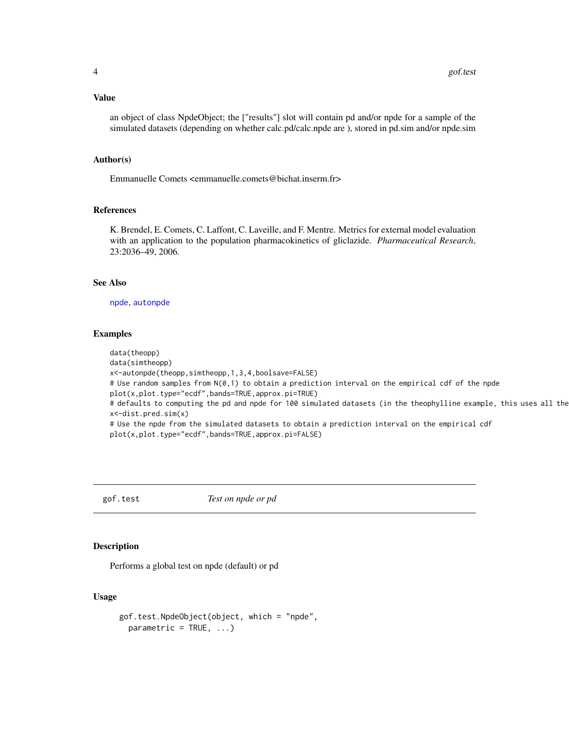#### <span id="page-3-0"></span>Value

an object of class NpdeObject; the ["results"] slot will contain pd and/or npde for a sample of the simulated datasets (depending on whether calc.pd/calc.npde are ), stored in pd.sim and/or npde.sim

#### Author(s)

Emmanuelle Comets <emmanuelle.comets@bichat.inserm.fr>

#### References

K. Brendel, E. Comets, C. Laffont, C. Laveille, and F. Mentre. Metrics for external model evaluation with an application to the population pharmacokinetics of gliclazide. *Pharmaceutical Research*, 23:2036–49, 2006.

### See Also

[npde](#page-6-1), [autonpde](#page-6-2)

#### Examples

data(theopp) data(simtheopp) x<-autonpde(theopp,simtheopp,1,3,4,boolsave=FALSE) # Use random samples from N(0,1) to obtain a prediction interval on the empirical cdf of the npde plot(x,plot.type="ecdf",bands=TRUE,approx.pi=TRUE) # defaults to computing the pd and npde for 100 simulated datasets (in the theophylline example, this uses all the x<-dist.pred.sim(x) # Use the npde from the simulated datasets to obtain a prediction interval on the empirical cdf plot(x,plot.type="ecdf",bands=TRUE,approx.pi=FALSE)

<span id="page-3-1"></span>gof.test *Test on npde or pd*

### Description

Performs a global test on npde (default) or pd

### Usage

```
gof.test.NpdeObject(object, which = "npde",
 parameteric = TRUE, ...
```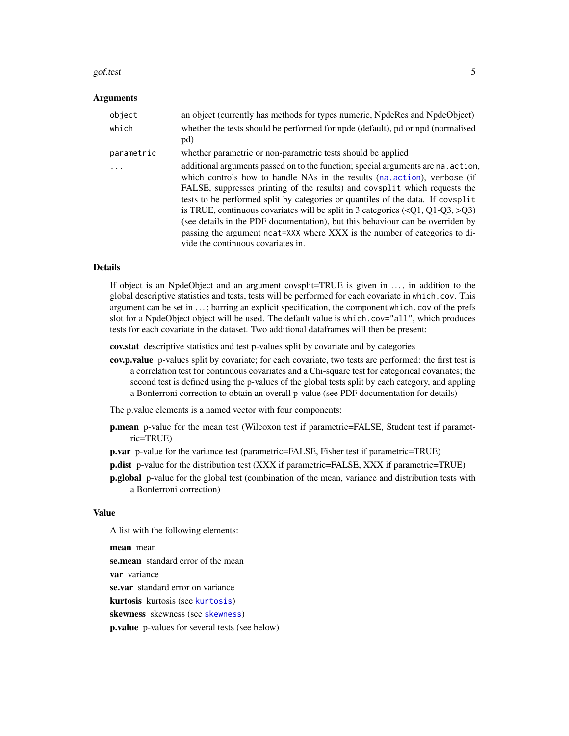#### <span id="page-4-0"></span>gof.test 5

#### Arguments

| object     | an object (currently has methods for types numeric, NpdeRes and NpdeObject)                                                                                                                                                                                                                                                                                                                                                                                                                                                                                                                                                             |
|------------|-----------------------------------------------------------------------------------------------------------------------------------------------------------------------------------------------------------------------------------------------------------------------------------------------------------------------------------------------------------------------------------------------------------------------------------------------------------------------------------------------------------------------------------------------------------------------------------------------------------------------------------------|
| which      | whether the tests should be performed for npde (default), pd or npd (normalised<br>pd)                                                                                                                                                                                                                                                                                                                                                                                                                                                                                                                                                  |
| parametric | whether parametric or non-parametric tests should be applied                                                                                                                                                                                                                                                                                                                                                                                                                                                                                                                                                                            |
| $\ddots$   | additional arguments passed on to the function; special arguments are na. action,<br>which controls how to handle NAs in the results (na. action), verbose (if<br>FALSE, suppresses printing of the results) and covsplit which requests the<br>tests to be performed split by categories or quantiles of the data. If covsplit<br>is TRUE, continuous covariates will be split in 3 categories $(\langle Q1, Q1-Q3, \rangle Q3)$<br>(see details in the PDF documentation), but this behaviour can be overriden by<br>passing the argument ncat=XXX where XXX is the number of categories to di-<br>vide the continuous covariates in. |

#### Details

If object is an NpdeObject and an argument covsplit=TRUE is given in . . . , in addition to the global descriptive statistics and tests, tests will be performed for each covariate in which.cov. This argument can be set in ...; barring an explicit specification, the component which.cov of the prefs slot for a NpdeObject object will be used. The default value is which.cov="all", which produces tests for each covariate in the dataset. Two additional dataframes will then be present:

cov.stat descriptive statistics and test p-values split by covariate and by categories

cov.p.value p-values split by covariate; for each covariate, two tests are performed: the first test is a correlation test for continuous covariates and a Chi-square test for categorical covariates; the second test is defined using the p-values of the global tests split by each category, and appling a Bonferroni correction to obtain an overall p-value (see PDF documentation for details)

The p.value elements is a named vector with four components:

- p.mean p-value for the mean test (Wilcoxon test if parametric=FALSE, Student test if parametric=TRUE)
- p.var p-value for the variance test (parametric=FALSE, Fisher test if parametric=TRUE)
- p.dist p-value for the distribution test (XXX if parametric=FALSE, XXX if parametric=TRUE)
- **p.global** p-value for the global test (combination of the mean, variance and distribution tests with a Bonferroni correction)

#### Value

A list with the following elements:

mean mean se.mean standard error of the mean var variance se.var standard error on variance kurtosis kurtosis (see [kurtosis](#page-5-1)) skewness skewness (see [skewness](#page-21-1)) p.value p-values for several tests (see below)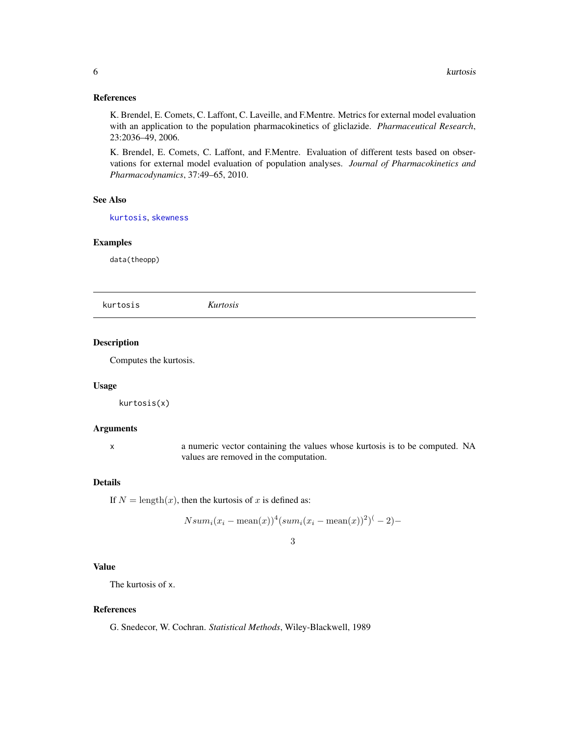#### <span id="page-5-0"></span>References

K. Brendel, E. Comets, C. Laffont, C. Laveille, and F.Mentre. Metrics for external model evaluation with an application to the population pharmacokinetics of gliclazide. *Pharmaceutical Research*, 23:2036–49, 2006.

K. Brendel, E. Comets, C. Laffont, and F.Mentre. Evaluation of different tests based on observations for external model evaluation of population analyses. *Journal of Pharmacokinetics and Pharmacodynamics*, 37:49–65, 2010.

### See Also

[kurtosis](#page-5-1), [skewness](#page-21-1)

#### Examples

data(theopp)

<span id="page-5-1"></span>kurtosis *Kurtosis*

### Description

Computes the kurtosis.

#### Usage

kurtosis(x)

#### Arguments

x a numeric vector containing the values whose kurtosis is to be computed. NA values are removed in the computation.

#### Details

If  $N = \text{length}(x)$ , then the kurtosis of x is defined as:

$$
Nsum_i(x_i - \text{mean}(x))^4(sum_i(x_i - \text{mean}(x))^2)^{-1} - 2) -
$$

### 3

### Value

The kurtosis of x.

#### References

G. Snedecor, W. Cochran. *Statistical Methods*, Wiley-Blackwell, 1989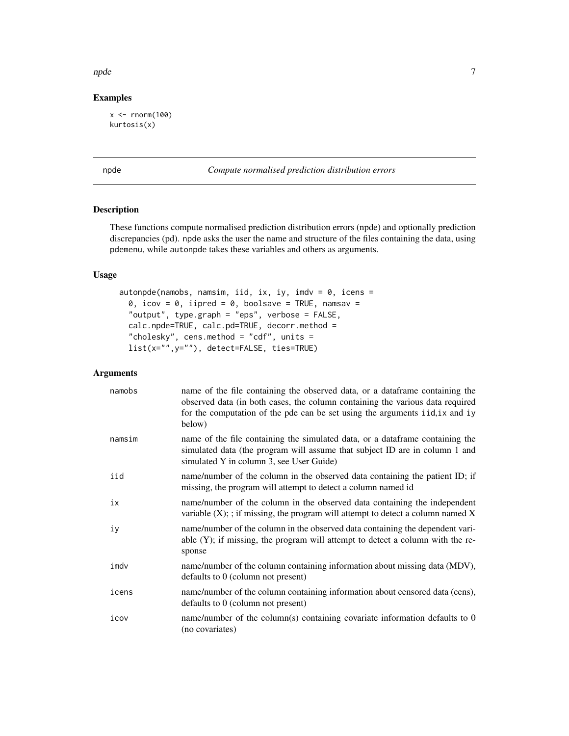#### <span id="page-6-0"></span>npde to the contract of the contract of the contract of the contract of the contract of the contract of the contract of the contract of the contract of the contract of the contract of the contract of the contract of the co

## Examples

 $x < -$  rnorm(100) kurtosis(x)

<span id="page-6-1"></span>npde *Compute normalised prediction distribution errors*

### <span id="page-6-2"></span>Description

These functions compute normalised prediction distribution errors (npde) and optionally prediction discrepancies (pd). npde asks the user the name and structure of the files containing the data, using pdemenu, while autonpde takes these variables and others as arguments.

### Usage

```
autonpde(namobs, namsim, iid, ix, iy, imdv = 0, icens =
 0, icov = 0, iipred = 0, boolsave = TRUE, namsav =
  "output", type.graph = "eps", verbose = FALSE,
 calc.npde=TRUE, calc.pd=TRUE, decorr.method =
  "cholesky", cens.method = "cdf", units =
 list(x="",y=""), detect=FALSE, ties=TRUE)
```
### Arguments

| namobs | name of the file containing the observed data, or a dataframe containing the<br>observed data (in both cases, the column containing the various data required<br>for the computation of the pde can be set using the arguments iid, ix and iy<br>below) |
|--------|---------------------------------------------------------------------------------------------------------------------------------------------------------------------------------------------------------------------------------------------------------|
| namsim | name of the file containing the simulated data, or a dataframe containing the<br>simulated data (the program will assume that subject ID are in column 1 and<br>simulated Y in column 3, see User Guide)                                                |
| iid    | name/number of the column in the observed data containing the patient ID; if<br>missing, the program will attempt to detect a column named id                                                                                                           |
| iх     | name/number of the column in the observed data containing the independent<br>variable $(X)$ ; ; if missing, the program will attempt to detect a column named $X$                                                                                       |
| iу     | name/number of the column in the observed data containing the dependent vari-<br>able $(Y)$ ; if missing, the program will attempt to detect a column with the re-<br>sponse                                                                            |
| imdv   | name/number of the column containing information about missing data (MDV),<br>defaults to 0 (column not present)                                                                                                                                        |
| icens  | name/number of the column containing information about censored data (cens),<br>defaults to $0$ (column not present)                                                                                                                                    |
| icov   | name/number of the column(s) containing covariate information defaults to 0<br>(no covariates)                                                                                                                                                          |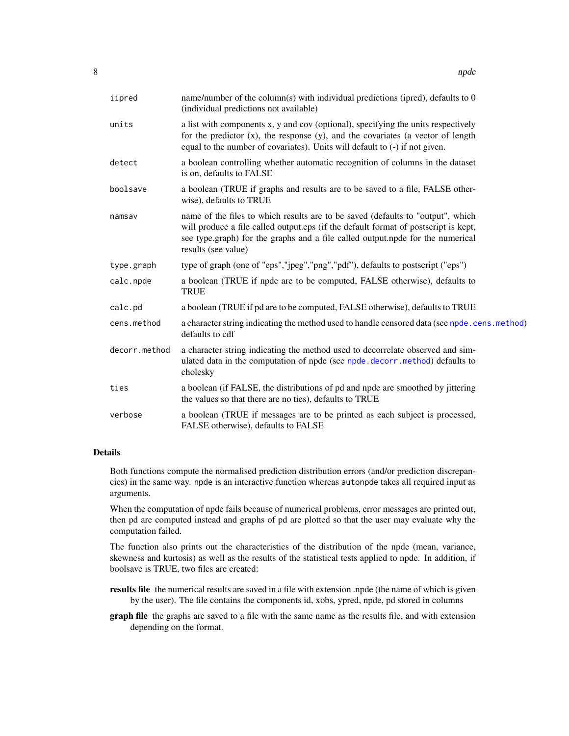<span id="page-7-0"></span>

| iipred        | name/number of the column(s) with individual predictions (ipred), defaults to $0$<br>(individual predictions not available)                                                                                                                                                     |
|---------------|---------------------------------------------------------------------------------------------------------------------------------------------------------------------------------------------------------------------------------------------------------------------------------|
| units         | a list with components x, y and cov (optional), specifying the units respectively<br>for the predictor $(x)$ , the response $(y)$ , and the covariates (a vector of length<br>equal to the number of covariates). Units will default to (-) if not given.                       |
| detect        | a boolean controlling whether automatic recognition of columns in the dataset<br>is on, defaults to FALSE                                                                                                                                                                       |
| boolsave      | a boolean (TRUE if graphs and results are to be saved to a file, FALSE other-<br>wise), defaults to TRUE                                                                                                                                                                        |
| namsav        | name of the files to which results are to be saved (defaults to "output", which<br>will produce a file called output.eps (if the default format of postscript is kept,<br>see type.graph) for the graphs and a file called output.npde for the numerical<br>results (see value) |
| type.graph    | type of graph (one of "eps","jpeg","png","pdf"), defaults to postscript ("eps")                                                                                                                                                                                                 |
| calc.npde     | a boolean (TRUE if npde are to be computed, FALSE otherwise), defaults to<br><b>TRUE</b>                                                                                                                                                                                        |
| calc.pd       | a boolean (TRUE if pd are to be computed, FALSE otherwise), defaults to TRUE                                                                                                                                                                                                    |
| cens.method   | a character string indicating the method used to handle censored data (see npde.cens.method)<br>defaults to cdf                                                                                                                                                                 |
| decorr.method | a character string indicating the method used to decorrelate observed and sim-<br>ulated data in the computation of npde (see npde.decorr.method) defaults to<br>cholesky                                                                                                       |
| ties          | a boolean (if FALSE, the distributions of pd and npde are smoothed by jittering<br>the values so that there are no ties), defaults to TRUE                                                                                                                                      |
| verbose       | a boolean (TRUE if messages are to be printed as each subject is processed,<br>FALSE otherwise), defaults to FALSE                                                                                                                                                              |

#### Details

Both functions compute the normalised prediction distribution errors (and/or prediction discrepancies) in the same way. npde is an interactive function whereas autonpde takes all required input as arguments.

When the computation of npde fails because of numerical problems, error messages are printed out, then pd are computed instead and graphs of pd are plotted so that the user may evaluate why the computation failed.

The function also prints out the characteristics of the distribution of the npde (mean, variance, skewness and kurtosis) as well as the results of the statistical tests applied to npde. In addition, if boolsave is TRUE, two files are created:

results file the numerical results are saved in a file with extension .npde (the name of which is given by the user). The file contains the components id, xobs, ypred, npde, pd stored in columns

graph file the graphs are saved to a file with the same name as the results file, and with extension depending on the format.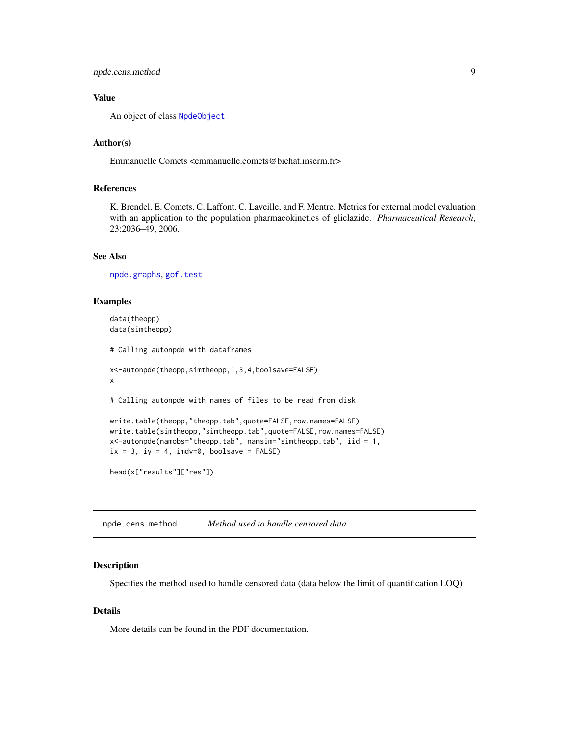### <span id="page-8-0"></span>npde.cens.method 9

### Value

An object of class [NpdeObject](#page-14-1)

### Author(s)

Emmanuelle Comets <emmanuelle.comets@bichat.inserm.fr>

### References

K. Brendel, E. Comets, C. Laffont, C. Laveille, and F. Mentre. Metrics for external model evaluation with an application to the population pharmacokinetics of gliclazide. *Pharmaceutical Research*, 23:2036–49, 2006.

### See Also

[npde.graphs](#page-10-1), [gof.test](#page-3-1)

### Examples

```
data(theopp)
data(simtheopp)
# Calling autonpde with dataframes
x<-autonpde(theopp,simtheopp,1,3,4,boolsave=FALSE)
x
# Calling autonpde with names of files to be read from disk
write.table(theopp,"theopp.tab",quote=FALSE,row.names=FALSE)
write.table(simtheopp,"simtheopp.tab",quote=FALSE,row.names=FALSE)
x<-autonpde(namobs="theopp.tab", namsim="simtheopp.tab", iid = 1,
ix = 3, iy = 4, imdv=0, boolsave = FALSE)
head(x["results"]["res"])
```
<span id="page-8-1"></span>npde.cens.method *Method used to handle censored data*

#### Description

Specifies the method used to handle censored data (data below the limit of quantification LOQ)

#### Details

More details can be found in the PDF documentation.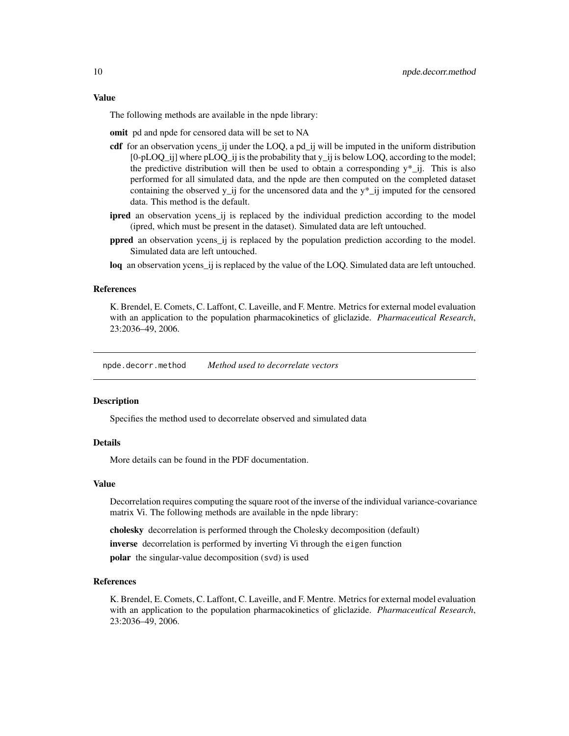#### <span id="page-9-0"></span>Value

The following methods are available in the npde library:

omit pd and npde for censored data will be set to NA

- cdf for an observation ycens\_ij under the LOQ, a pd\_ij will be imputed in the uniform distribution  $[0-pLOQ_i]$  where  $pLOQ_i$  ij is the probability that  $y_i$  ij is below LOQ, according to the model; the predictive distribution will then be used to obtain a corresponding  $y^*$ \_ij. This is also performed for all simulated data, and the npde are then computed on the completed dataset containing the observed  $y$ \_ij for the uncensored data and the  $y^*$ \_ij imputed for the censored data. This method is the default.
- ipred an observation ycens\_ij is replaced by the individual prediction according to the model (ipred, which must be present in the dataset). Simulated data are left untouched.
- ppred an observation ycens\_ij is replaced by the population prediction according to the model. Simulated data are left untouched.
- loq an observation ycens\_ij is replaced by the value of the LOQ. Simulated data are left untouched.

#### **References**

K. Brendel, E. Comets, C. Laffont, C. Laveille, and F. Mentre. Metrics for external model evaluation with an application to the population pharmacokinetics of gliclazide. *Pharmaceutical Research*, 23:2036–49, 2006.

<span id="page-9-1"></span>npde.decorr.method *Method used to decorrelate vectors*

#### Description

Specifies the method used to decorrelate observed and simulated data

#### Details

More details can be found in the PDF documentation.

#### Value

Decorrelation requires computing the square root of the inverse of the individual variance-covariance matrix Vi. The following methods are available in the npde library:

cholesky decorrelation is performed through the Cholesky decomposition (default)

inverse decorrelation is performed by inverting Vi through the eigen function

polar the singular-value decomposition (svd) is used

#### References

K. Brendel, E. Comets, C. Laffont, C. Laveille, and F. Mentre. Metrics for external model evaluation with an application to the population pharmacokinetics of gliclazide. *Pharmaceutical Research*, 23:2036–49, 2006.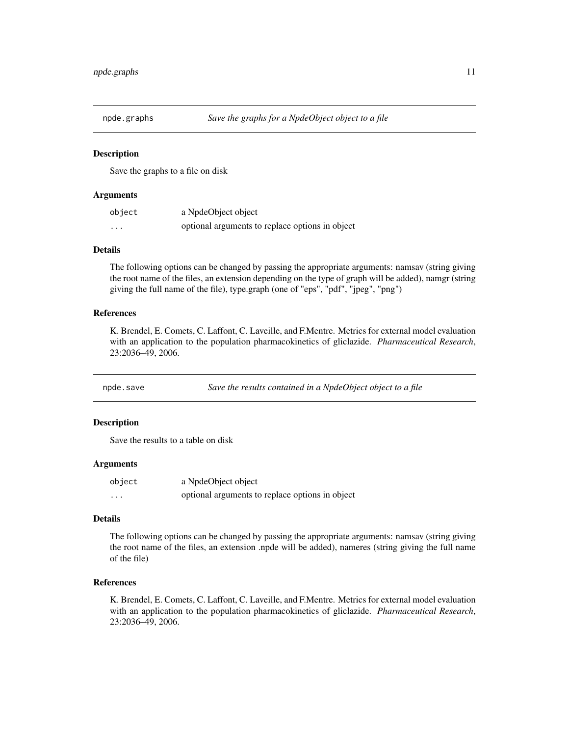<span id="page-10-1"></span><span id="page-10-0"></span>

### Description

Save the graphs to a file on disk

### Arguments

| object   | a NpdeObject object                             |
|----------|-------------------------------------------------|
| $\cdots$ | optional arguments to replace options in object |

#### Details

The following options can be changed by passing the appropriate arguments: namsav (string giving the root name of the files, an extension depending on the type of graph will be added), namgr (string giving the full name of the file), type.graph (one of "eps", "pdf", "jpeg", "png")

#### References

K. Brendel, E. Comets, C. Laffont, C. Laveille, and F.Mentre. Metrics for external model evaluation with an application to the population pharmacokinetics of gliclazide. *Pharmaceutical Research*, 23:2036–49, 2006.

npde.save *Save the results contained in a NpdeObject object to a file*

### Description

Save the results to a table on disk

#### Arguments

| object   | a NpdeObject object                             |
|----------|-------------------------------------------------|
| $\cdots$ | optional arguments to replace options in object |

### Details

The following options can be changed by passing the appropriate arguments: namsav (string giving the root name of the files, an extension .npde will be added), nameres (string giving the full name of the file)

### References

K. Brendel, E. Comets, C. Laffont, C. Laveille, and F.Mentre. Metrics for external model evaluation with an application to the population pharmacokinetics of gliclazide. *Pharmaceutical Research*, 23:2036–49, 2006.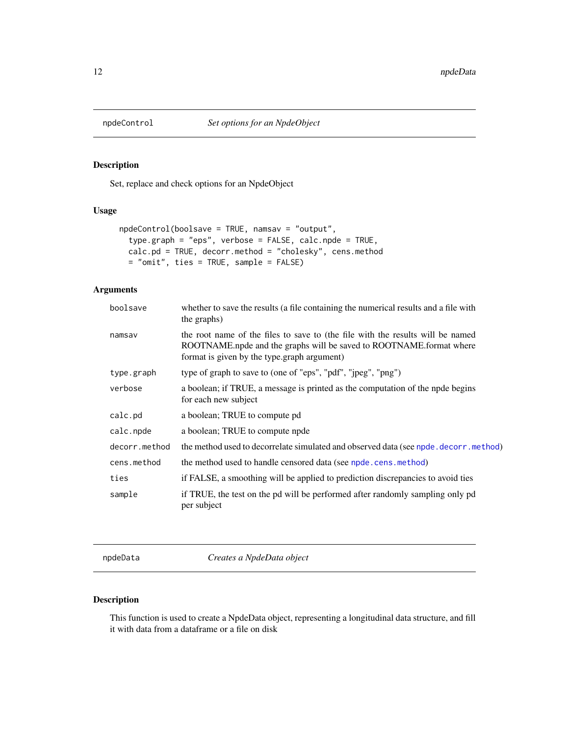<span id="page-11-0"></span>

### Description

Set, replace and check options for an NpdeObject

### Usage

```
npdeControl(boolsave = TRUE, namsav = "output",
 type.graph = "eps", verbose = FALSE, calc.npde = TRUE,
 calc.pd = TRUE, decorr.method = "cholesky", cens.method
 = "omit", ties = TRUE, sample = FALSE)
```
### Arguments

| boolsave      | whether to save the results (a file containing the numerical results and a file with<br>the graphs)                                                                                                  |
|---------------|------------------------------------------------------------------------------------------------------------------------------------------------------------------------------------------------------|
| namsav        | the root name of the files to save to (the file with the results will be named<br>ROOTNAME.npde and the graphs will be saved to ROOTNAME.format where<br>format is given by the type.graph argument) |
| type.graph    | type of graph to save to (one of "eps", "pdf", "jpeg", "png")                                                                                                                                        |
| verbose       | a boolean; if TRUE, a message is printed as the computation of the npde begins<br>for each new subject                                                                                               |
| calc.pd       | a boolean; TRUE to compute pd                                                                                                                                                                        |
| calc.npde     | a boolean; TRUE to compute npde                                                                                                                                                                      |
| decorr.method | the method used to decorrelate simulated and observed data (see npde. decorr. method)                                                                                                                |
| cens.method   | the method used to handle censored data (see npde.cens.method)                                                                                                                                       |
| ties          | if FALSE, a smoothing will be applied to prediction discrepancies to avoid ties                                                                                                                      |
| sample        | if TRUE, the test on the pd will be performed after randomly sampling only pd<br>per subject                                                                                                         |
|               |                                                                                                                                                                                                      |

<span id="page-11-1"></span>npdeData *Creates a NpdeData object*

### Description

This function is used to create a NpdeData object, representing a longitudinal data structure, and fill it with data from a dataframe or a file on disk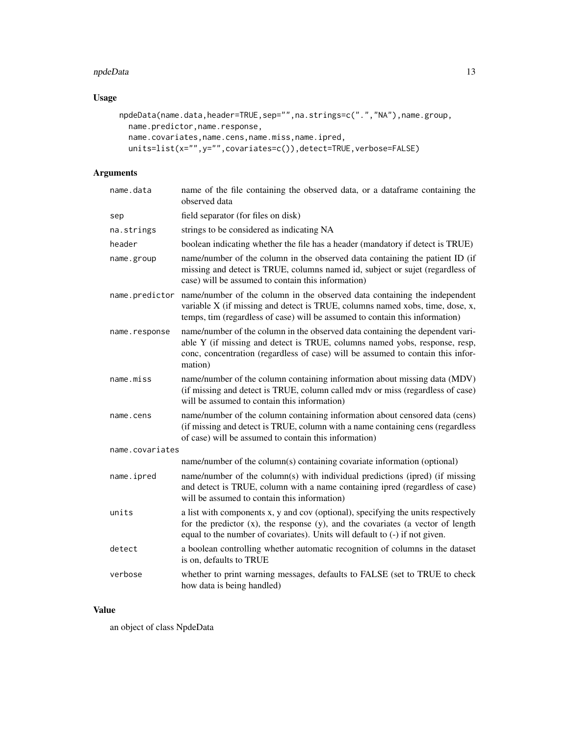#### npdeData 13

### Usage

```
npdeData(name.data,header=TRUE,sep="",na.strings=c(".","NA"),name.group,
 name.predictor,name.response,
  name.covariates,name.cens,name.miss,name.ipred,
 units=list(x="",y="",covariates=c()),detect=TRUE,verbose=FALSE)
```
### Arguments

| name.data       | name of the file containing the observed data, or a dataframe containing the<br>observed data                                                                                                                                                             |
|-----------------|-----------------------------------------------------------------------------------------------------------------------------------------------------------------------------------------------------------------------------------------------------------|
| sep             | field separator (for files on disk)                                                                                                                                                                                                                       |
| na.strings      | strings to be considered as indicating NA                                                                                                                                                                                                                 |
| header          | boolean indicating whether the file has a header (mandatory if detect is TRUE)                                                                                                                                                                            |
| name.group      | name/number of the column in the observed data containing the patient ID (if<br>missing and detect is TRUE, columns named id, subject or sujet (regardless of<br>case) will be assumed to contain this information)                                       |
| name.predictor  | name/number of the column in the observed data containing the independent<br>variable X (if missing and detect is TRUE, columns named xobs, time, dose, x,<br>temps, tim (regardless of case) will be assumed to contain this information)                |
| name.response   | name/number of the column in the observed data containing the dependent vari-<br>able Y (if missing and detect is TRUE, columns named yobs, response, resp,<br>conc, concentration (regardless of case) will be assumed to contain this infor-<br>mation) |
| name.miss       | name/number of the column containing information about missing data (MDV)<br>(if missing and detect is TRUE, column called mdv or miss (regardless of case)<br>will be assumed to contain this information)                                               |
| name.cens       | name/number of the column containing information about censored data (cens)<br>(if missing and detect is TRUE, column with a name containing cens (regardless<br>of case) will be assumed to contain this information)                                    |
| name.covariates |                                                                                                                                                                                                                                                           |
|                 | name/number of the column(s) containing covariate information (optional)                                                                                                                                                                                  |
| name.ipred      | name/number of the column(s) with individual predictions (ipred) (if missing<br>and detect is TRUE, column with a name containing ipred (regardless of case)<br>will be assumed to contain this information)                                              |
| units           | a list with components x, y and cov (optional), specifying the units respectively<br>for the predictor $(x)$ , the response $(y)$ , and the covariates (a vector of length<br>equal to the number of covariates). Units will default to (-) if not given. |
| detect          | a boolean controlling whether automatic recognition of columns in the dataset<br>is on, defaults to TRUE                                                                                                                                                  |
| verbose         | whether to print warning messages, defaults to FALSE (set to TRUE to check<br>how data is being handled)                                                                                                                                                  |

### Value

an object of class NpdeData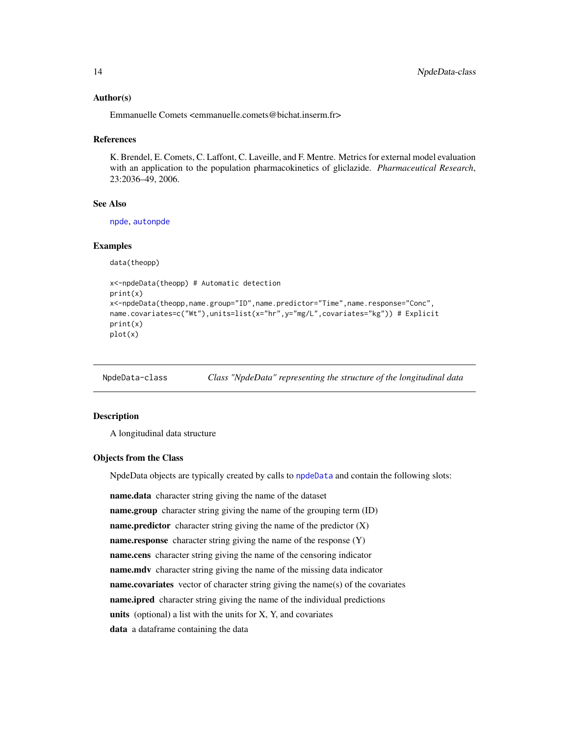#### <span id="page-13-0"></span>Author(s)

Emmanuelle Comets <emmanuelle.comets@bichat.inserm.fr>

#### References

K. Brendel, E. Comets, C. Laffont, C. Laveille, and F. Mentre. Metrics for external model evaluation with an application to the population pharmacokinetics of gliclazide. *Pharmaceutical Research*, 23:2036–49, 2006.

### See Also

[npde](#page-6-1), [autonpde](#page-6-2)

#### Examples

data(theopp)

```
x<-npdeData(theopp) # Automatic detection
print(x)
x<-npdeData(theopp,name.group="ID",name.predictor="Time",name.response="Conc",
name.covariates=c("Wt"),units=list(x="hr",y="mg/L",covariates="kg")) # Explicit
print(x)
plot(x)
```
<span id="page-13-1"></span>NpdeData-class *Class "NpdeData" representing the structure of the longitudinal data*

#### <span id="page-13-2"></span>Description

A longitudinal data structure

### Objects from the Class

NpdeData objects are typically created by calls to [npdeData](#page-11-1) and contain the following slots:

name.data character string giving the name of the dataset name.group character string giving the name of the grouping term (ID) name.predictor character string giving the name of the predictor  $(X)$ name.response character string giving the name of the response (Y) name.cens character string giving the name of the censoring indicator name.mdv character string giving the name of the missing data indicator name.covariates vector of character string giving the name(s) of the covariates name.ipred character string giving the name of the individual predictions units (optional) a list with the units for  $X$ ,  $Y$ , and covariates data a dataframe containing the data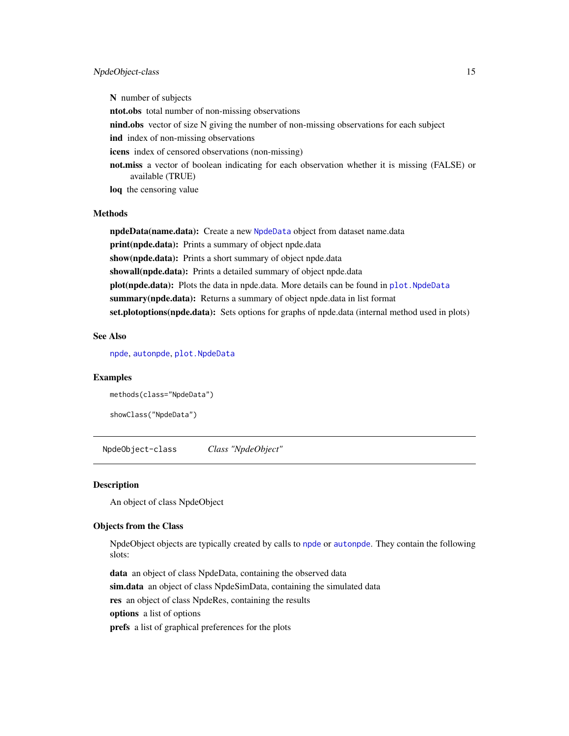### <span id="page-14-0"></span>NpdeObject-class 15

N number of subjects ntot.obs total number of non-missing observations nind.obs vector of size N giving the number of non-missing observations for each subject ind index of non-missing observations icens index of censored observations (non-missing) not.miss a vector of boolean indicating for each observation whether it is missing (FALSE) or available (TRUE) loq the censoring value

### Methods

npdeData(name.data): Create a new [NpdeData](#page-13-1) object from dataset name.data print(npde.data): Prints a summary of object npde.data show(npde.data): Prints a short summary of object npde.data showall(npde.data): Prints a detailed summary of object npde.data plot(npde.data): Plots the data in npde.data. More details can be found in plot. NpdeData summary(npde.data): Returns a summary of object npde.data in list format set.plotoptions(npde.data): Sets options for graphs of npde.data (internal method used in plots)

### See Also

[npde](#page-6-1), [autonpde](#page-6-2), [plot.NpdeData](#page-16-1)

#### Examples

methods(class="NpdeData")

showClass("NpdeData")

NpdeObject-class *Class "NpdeObject"*

#### <span id="page-14-1"></span>Description

An object of class NpdeObject

### Objects from the Class

NpdeObject objects are typically created by calls to [npde](#page-6-1) or [autonpde](#page-6-2). They contain the following slots:

data an object of class NpdeData, containing the observed data sim.data an object of class NpdeSimData, containing the simulated data res an object of class NpdeRes, containing the results options a list of options prefs a list of graphical preferences for the plots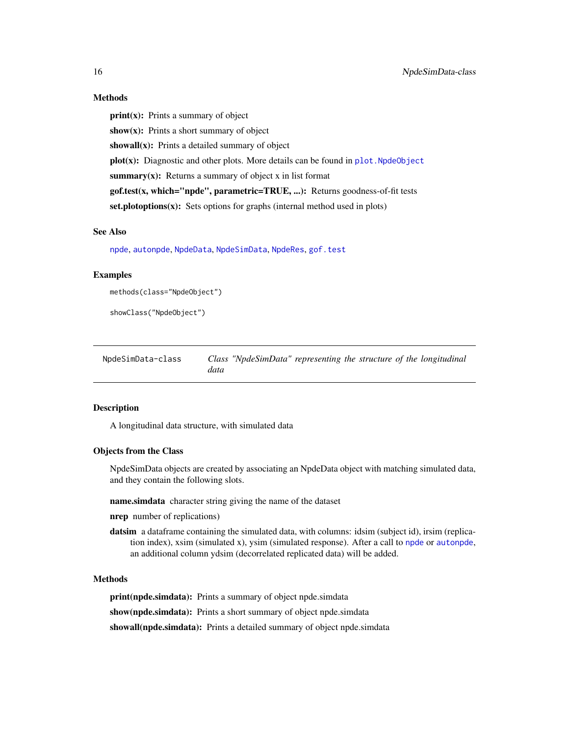#### Methods

 $print(x)$ : Prints a summary of object show $(x)$ : Prints a short summary of object showall(x): Prints a detailed summary of object  $plot(x)$ : Diagnostic and other plots. More details can be found in plot. Npde0bject summary $(x)$ : Returns a summary of object x in list format  $gof.test(x, which='npole'', parameteric=TRUE, ...)$ : Returns goodness-of-fit tests set.plotoptions(x): Sets options for graphs (internal method used in plots)

#### See Also

[npde](#page-6-1), [autonpde](#page-6-2), [NpdeData](#page-13-2), [NpdeSimData](#page-15-1), [NpdeRes](#page-0-0), [gof.test](#page-3-1)

### Examples

```
methods(class="NpdeObject")
```

```
showClass("NpdeObject")
```
NpdeSimData-class *Class "NpdeSimData" representing the structure of the longitudinal data*

### <span id="page-15-1"></span>Description

A longitudinal data structure, with simulated data

#### Objects from the Class

NpdeSimData objects are created by associating an NpdeData object with matching simulated data, and they contain the following slots.

name.simdata character string giving the name of the dataset

- nrep number of replications)
- datsim a dataframe containing the simulated data, with columns: idsim (subject id), irsim (replication index), xsim (simulated x), ysim (simulated response). After a call to [npde](#page-6-1) or [autonpde](#page-6-2), an additional column ydsim (decorrelated replicated data) will be added.

#### Methods

print(npde.simdata): Prints a summary of object npde.simdata

show(npde.simdata): Prints a short summary of object npde.simdata

showall(npde.simdata): Prints a detailed summary of object npde.simdata

<span id="page-15-0"></span>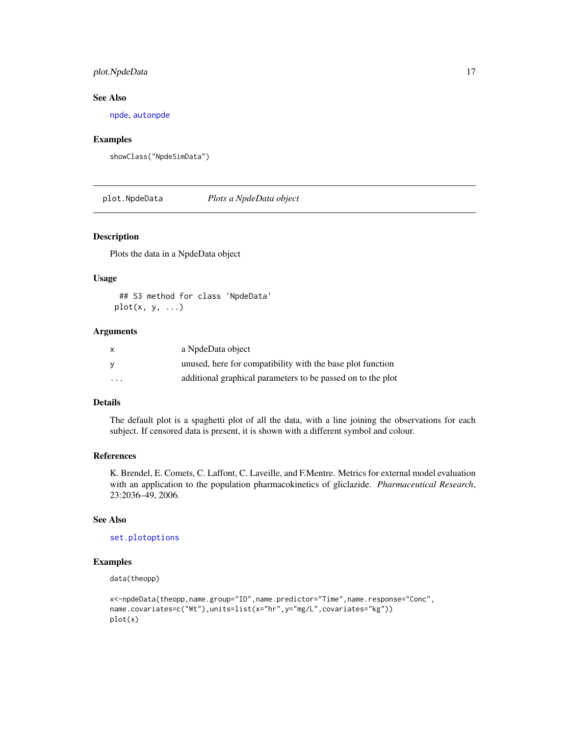### <span id="page-16-0"></span>plot.NpdeData 17

### See Also

[npde](#page-6-1), [autonpde](#page-6-2)

### Examples

```
showClass("NpdeSimData")
```
<span id="page-16-1"></span>plot.NpdeData *Plots a NpdeData object*

### Description

Plots the data in a NpdeData object

#### Usage

```
## S3 method for class 'NpdeData'
plot(x, y, ...)
```
### Arguments

| $\times$                | a NpdeData object                                           |
|-------------------------|-------------------------------------------------------------|
| y                       | unused, here for compatibility with the base plot function  |
| $\cdot$ $\cdot$ $\cdot$ | additional graphical parameters to be passed on to the plot |

#### Details

The default plot is a spaghetti plot of all the data, with a line joining the observations for each subject. If censored data is present, it is shown with a different symbol and colour.

### References

K. Brendel, E. Comets, C. Laffont, C. Laveille, and F.Mentre. Metrics for external model evaluation with an application to the population pharmacokinetics of gliclazide. *Pharmaceutical Research*, 23:2036–49, 2006.

#### See Also

[set.plotoptions](#page-18-1)

### Examples

data(theopp)

```
x<-npdeData(theopp,name.group="ID",name.predictor="Time",name.response="Conc",
name.covariates=c("Wt"),units=list(x="hr",y="mg/L",covariates="kg"))
plot(x)
```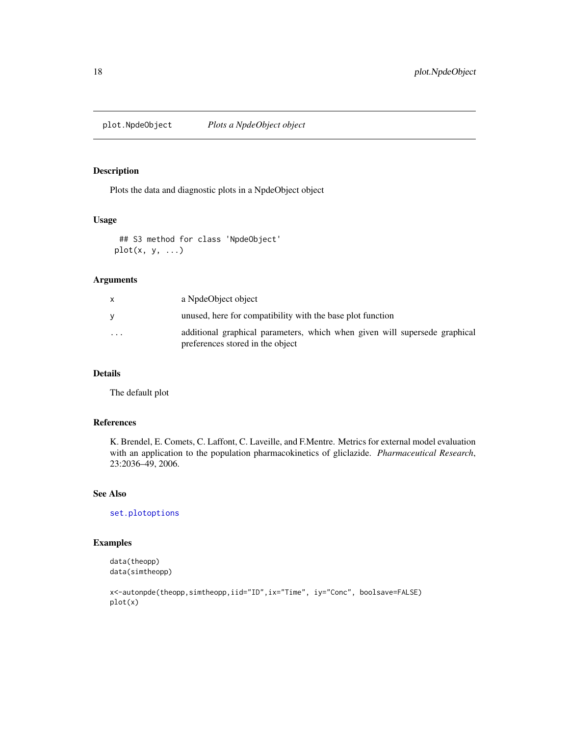<span id="page-17-1"></span><span id="page-17-0"></span>

### Description

Plots the data and diagnostic plots in a NpdeObject object

### Usage

## S3 method for class 'NpdeObject'  $plot(x, y, ...)$ 

#### Arguments

| X        | a NpdeObject object                                                                                            |
|----------|----------------------------------------------------------------------------------------------------------------|
|          | unused, here for compatibility with the base plot function                                                     |
| $\cdots$ | additional graphical parameters, which when given will supersede graphical<br>preferences stored in the object |

### Details

The default plot

### References

K. Brendel, E. Comets, C. Laffont, C. Laveille, and F.Mentre. Metrics for external model evaluation with an application to the population pharmacokinetics of gliclazide. *Pharmaceutical Research*, 23:2036–49, 2006.

### See Also

[set.plotoptions](#page-18-1)

### Examples

```
data(theopp)
data(simtheopp)
```

```
x<-autonpde(theopp,simtheopp,iid="ID",ix="Time", iy="Conc", boolsave=FALSE)
plot(x)
```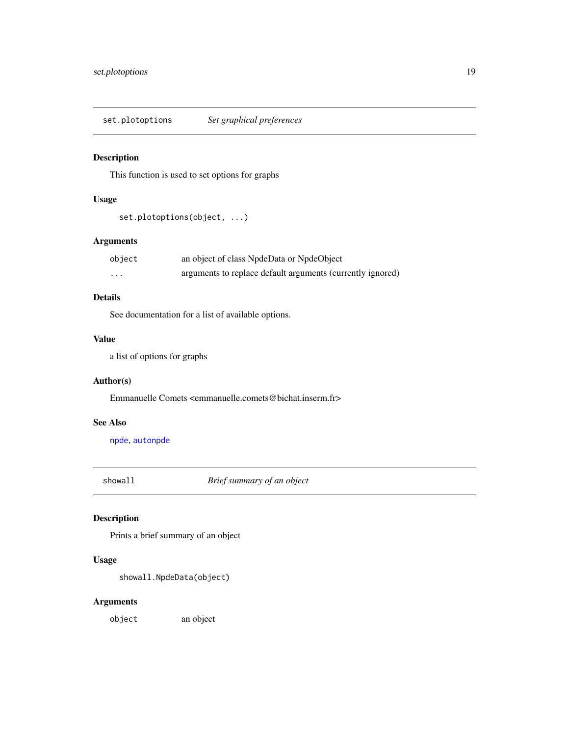<span id="page-18-1"></span><span id="page-18-0"></span>set.plotoptions *Set graphical preferences*

### Description

This function is used to set options for graphs

### Usage

set.plotoptions(object, ...)

### Arguments

| object | an object of class NpdeData or NpdeObject                  |
|--------|------------------------------------------------------------|
| .      | arguments to replace default arguments (currently ignored) |

### Details

See documentation for a list of available options.

### Value

a list of options for graphs

### Author(s)

Emmanuelle Comets <emmanuelle.comets@bichat.inserm.fr>

### See Also

[npde](#page-6-1), [autonpde](#page-6-2)

showall *Brief summary of an object*

### Description

Prints a brief summary of an object

### Usage

```
showall.NpdeData(object)
```
### Arguments

object an object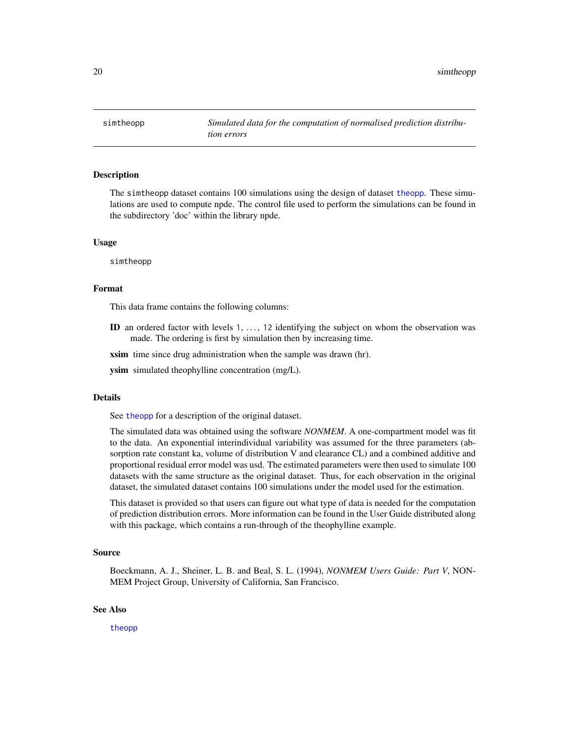<span id="page-19-0"></span>simtheopp *Simulated data for the computation of normalised prediction distribution errors*

#### **Description**

The simtheopp dataset contains 100 simulations using the design of dataset [theopp](#page-22-1). These simulations are used to compute npde. The control file used to perform the simulations can be found in the subdirectory 'doc' within the library npde.

#### Usage

simtheopp

#### Format

This data frame contains the following columns:

ID an ordered factor with levels  $1, \ldots, 12$  identifying the subject on whom the observation was made. The ordering is first by simulation then by increasing time.

xsim time since drug administration when the sample was drawn (hr).

**ysim** simulated theophylline concentration (mg/L).

#### Details

See [theopp](#page-22-1) for a description of the original dataset.

The simulated data was obtained using the software *NONMEM*. A one-compartment model was fit to the data. An exponential interindividual variability was assumed for the three parameters (absorption rate constant ka, volume of distribution V and clearance CL) and a combined additive and proportional residual error model was usd. The estimated parameters were then used to simulate 100 datasets with the same structure as the original dataset. Thus, for each observation in the original dataset, the simulated dataset contains 100 simulations under the model used for the estimation.

This dataset is provided so that users can figure out what type of data is needed for the computation of prediction distribution errors. More information can be found in the User Guide distributed along with this package, which contains a run-through of the theophylline example.

#### Source

Boeckmann, A. J., Sheiner, L. B. and Beal, S. L. (1994), *NONMEM Users Guide: Part V*, NON-MEM Project Group, University of California, San Francisco.

#### See Also

[theopp](#page-22-1)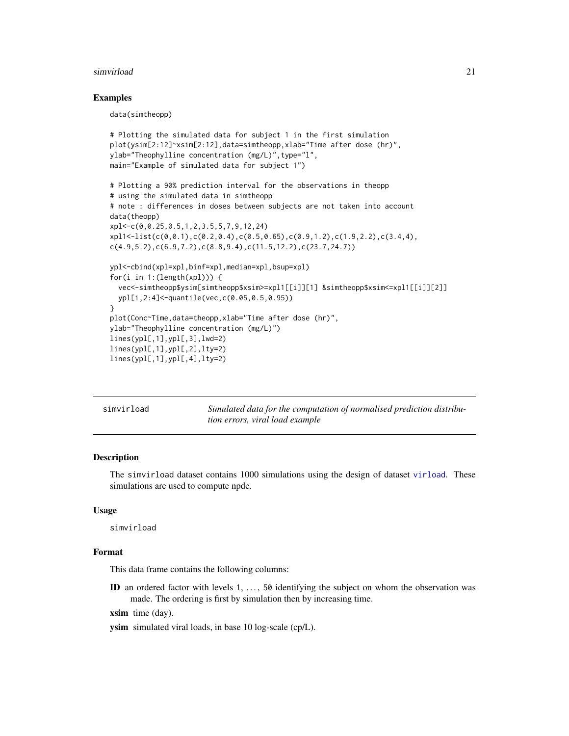#### <span id="page-20-0"></span>simvirload 21

#### Examples

data(simtheopp)

```
# Plotting the simulated data for subject 1 in the first simulation
plot(ysim[2:12]~xsim[2:12],data=simtheopp,xlab="Time after dose (hr)",
ylab="Theophylline concentration (mg/L)",type="l",
main="Example of simulated data for subject 1")
# Plotting a 90% prediction interval for the observations in theopp
# using the simulated data in simtheopp
# note : differences in doses between subjects are not taken into account
data(theopp)
xpl<-c(0,0.25,0.5,1,2,3.5,5,7,9,12,24)
xpl1 \le -list(c(0, 0.1), c(0.2, 0.4), c(0.5, 0.65), c(0.9, 1.2), c(1.9, 2.2), c(3.4, 4),c(4.9, 5.2), c(6.9, 7.2), c(8.8, 9.4), c(11.5, 12.2), c(23.7, 24.7))ypl<-cbind(xpl=xpl,binf=xpl,median=xpl,bsup=xpl)
for(i in 1:(length(xpl))) {
  vec<-simtheopp$ysim[simtheopp$xsim>=xpl1[[i]][1] &simtheopp$xsim<=xpl1[[i]][2]]
  ypl[i,2:4]<-quantile(vec,c(0.05,0.5,0.95))
}
plot(Conc~Time,data=theopp,xlab="Time after dose (hr)",
ylab="Theophylline concentration (mg/L)")
lines(ypl[,1],ypl[,3],lwd=2)
lines(ypl[,1],ypl[,2],lty=2)
lines(ypl[,1],ypl[,4],lty=2)
```
simvirload *Simulated data for the computation of normalised prediction distribution errors, viral load example*

#### Description

The simvirload dataset contains 1000 simulations using the design of dataset [virload](#page-23-1). These simulations are used to compute npde.

#### Usage

simvirload

### Format

This data frame contains the following columns:

ID an ordered factor with levels 1, . . . , 50 identifying the subject on whom the observation was made. The ordering is first by simulation then by increasing time.

xsim time (day).

ysim simulated viral loads, in base 10 log-scale (cp/L).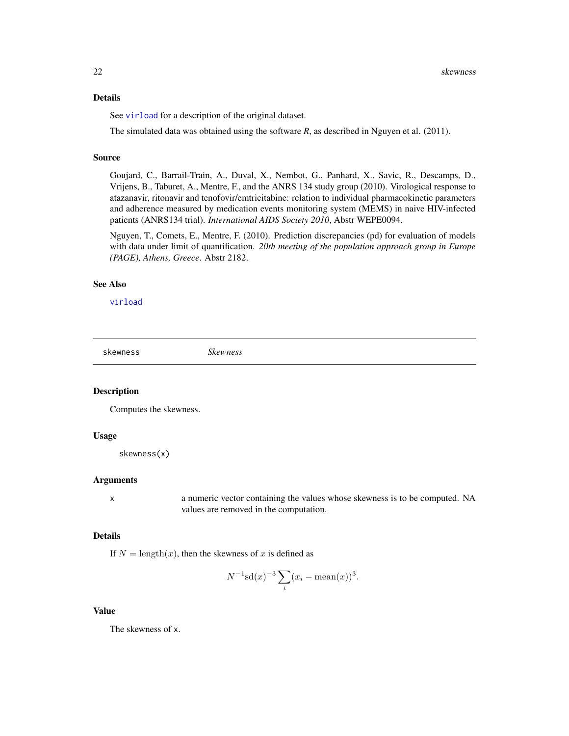### <span id="page-21-0"></span>Details

See [virload](#page-23-1) for a description of the original dataset.

The simulated data was obtained using the software *R*, as described in Nguyen et al. (2011).

### Source

Goujard, C., Barrail-Train, A., Duval, X., Nembot, G., Panhard, X., Savic, R., Descamps, D., Vrijens, B., Taburet, A., Mentre, F., and the ANRS 134 study group (2010). Virological response to atazanavir, ritonavir and tenofovir/emtricitabine: relation to individual pharmacokinetic parameters and adherence measured by medication events monitoring system (MEMS) in naive HIV-infected patients (ANRS134 trial). *International AIDS Society 2010*, Abstr WEPE0094.

Nguyen, T., Comets, E., Mentre, F. (2010). Prediction discrepancies (pd) for evaluation of models with data under limit of quantification. *20th meeting of the population approach group in Europe (PAGE), Athens, Greece*. Abstr 2182.

#### See Also

[virload](#page-23-1)

<span id="page-21-1"></span>skewness *Skewness*

### Description

Computes the skewness.

#### Usage

skewness(x)

#### Arguments

x a numeric vector containing the values whose skewness is to be computed. NA values are removed in the computation.

#### Details

If  $N = \text{length}(x)$ , then the skewness of x is defined as

$$
N^{-1}\mathrm{sd}(x)^{-3}\sum_{i}(x_i - \mathrm{mean}(x))^3.
$$

#### Value

The skewness of x.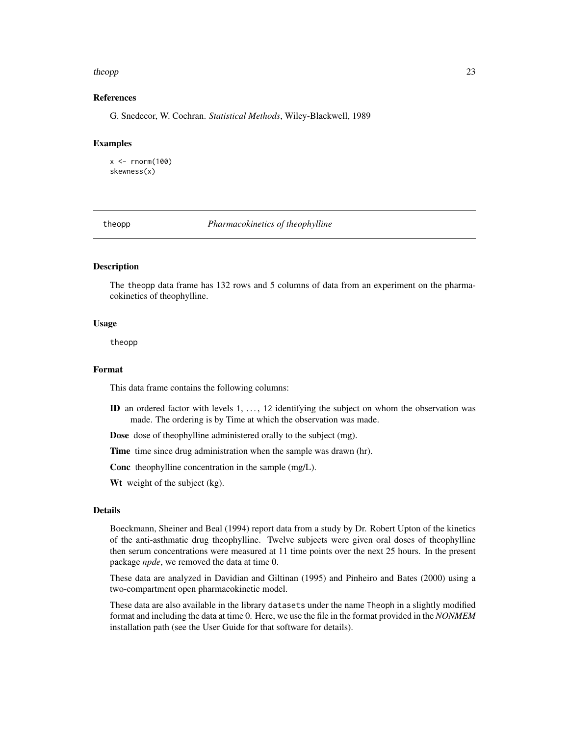#### <span id="page-22-0"></span>theopp 23

### References

G. Snedecor, W. Cochran. *Statistical Methods*, Wiley-Blackwell, 1989

#### Examples

 $x < -$  rnorm(100) skewness(x)

<span id="page-22-1"></span>theopp *Pharmacokinetics of theophylline*

### **Description**

The theopp data frame has 132 rows and 5 columns of data from an experiment on the pharmacokinetics of theophylline.

#### Usage

theopp

#### Format

This data frame contains the following columns:

ID an ordered factor with levels 1, . . . , 12 identifying the subject on whom the observation was made. The ordering is by Time at which the observation was made.

Dose dose of theophylline administered orally to the subject (mg).

Time time since drug administration when the sample was drawn (hr).

Conc theophylline concentration in the sample (mg/L).

Wt weight of the subject (kg).

### Details

Boeckmann, Sheiner and Beal (1994) report data from a study by Dr. Robert Upton of the kinetics of the anti-asthmatic drug theophylline. Twelve subjects were given oral doses of theophylline then serum concentrations were measured at 11 time points over the next 25 hours. In the present package *npde*, we removed the data at time 0.

These data are analyzed in Davidian and Giltinan (1995) and Pinheiro and Bates (2000) using a two-compartment open pharmacokinetic model.

These data are also available in the library datasets under the name Theoph in a slightly modified format and including the data at time 0. Here, we use the file in the format provided in the *NONMEM* installation path (see the User Guide for that software for details).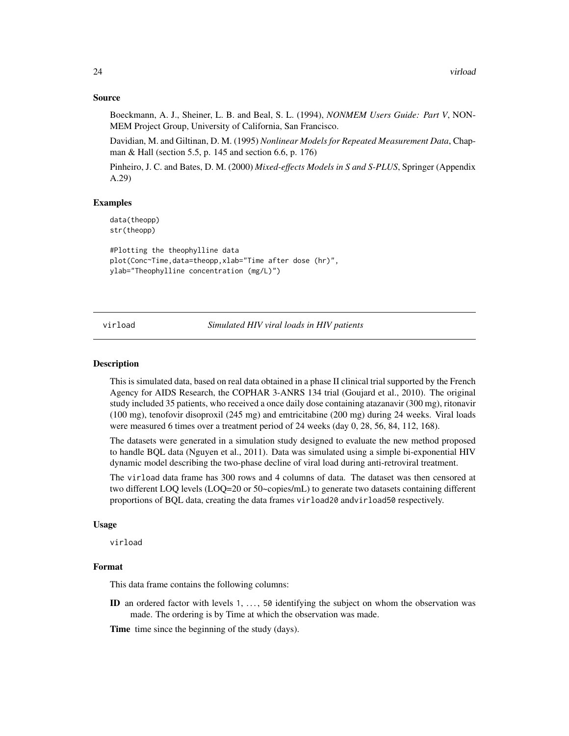#### Source

Boeckmann, A. J., Sheiner, L. B. and Beal, S. L. (1994), *NONMEM Users Guide: Part V*, NON-MEM Project Group, University of California, San Francisco.

Davidian, M. and Giltinan, D. M. (1995) *Nonlinear Models for Repeated Measurement Data*, Chapman & Hall (section 5.5, p. 145 and section 6.6, p. 176)

Pinheiro, J. C. and Bates, D. M. (2000) *Mixed-effects Models in S and S-PLUS*, Springer (Appendix A.29)

#### Examples

data(theopp) str(theopp)

```
#Plotting the theophylline data
plot(Conc~Time,data=theopp,xlab="Time after dose (hr)",
ylab="Theophylline concentration (mg/L)")
```
<span id="page-23-1"></span>virload *Simulated HIV viral loads in HIV patients*

#### Description

This is simulated data, based on real data obtained in a phase II clinical trial supported by the French Agency for AIDS Research, the COPHAR 3-ANRS 134 trial (Goujard et al., 2010). The original study included 35 patients, who received a once daily dose containing atazanavir (300 mg), ritonavir (100 mg), tenofovir disoproxil (245 mg) and emtricitabine (200 mg) during 24 weeks. Viral loads were measured 6 times over a treatment period of 24 weeks (day 0, 28, 56, 84, 112, 168).

The datasets were generated in a simulation study designed to evaluate the new method proposed to handle BQL data (Nguyen et al., 2011). Data was simulated using a simple bi-exponential HIV dynamic model describing the two-phase decline of viral load during anti-retroviral treatment.

The virload data frame has 300 rows and 4 columns of data. The dataset was then censored at two different LOQ levels (LOQ=20 or 50~copies/mL) to generate two datasets containing different proportions of BQL data, creating the data frames virload20 andvirload50 respectively.

#### Usage

virload

### Format

This data frame contains the following columns:

ID an ordered factor with levels  $1, \ldots, 50$  identifying the subject on whom the observation was made. The ordering is by Time at which the observation was made.

Time time since the beginning of the study (days).

<span id="page-23-0"></span>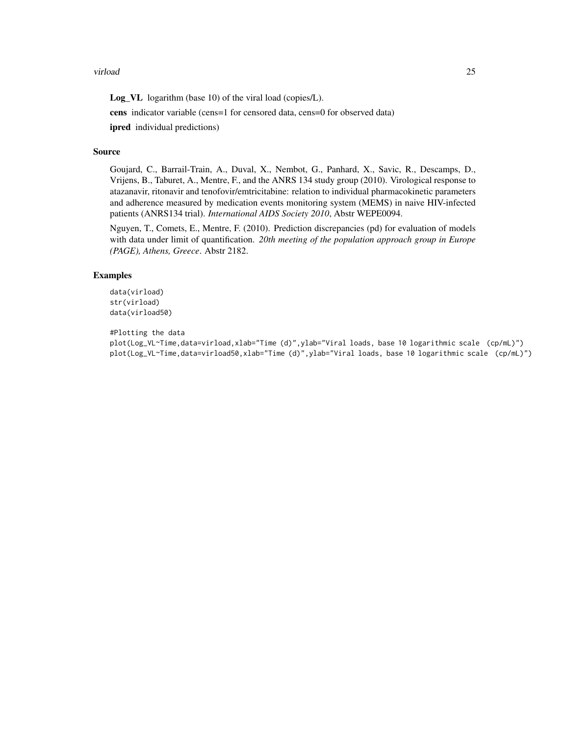#### virload 25

Log\_VL logarithm (base 10) of the viral load (copies/L).

cens indicator variable (cens=1 for censored data, cens=0 for observed data) ipred individual predictions)

#### Source

Goujard, C., Barrail-Train, A., Duval, X., Nembot, G., Panhard, X., Savic, R., Descamps, D., Vrijens, B., Taburet, A., Mentre, F., and the ANRS 134 study group (2010). Virological response to atazanavir, ritonavir and tenofovir/emtricitabine: relation to individual pharmacokinetic parameters and adherence measured by medication events monitoring system (MEMS) in naive HIV-infected patients (ANRS134 trial). *International AIDS Society 2010*, Abstr WEPE0094.

Nguyen, T., Comets, E., Mentre, F. (2010). Prediction discrepancies (pd) for evaluation of models with data under limit of quantification. *20th meeting of the population approach group in Europe (PAGE), Athens, Greece*. Abstr 2182.

### Examples

```
data(virload)
str(virload)
data(virload50)
```
#Plotting the data

plot(Log\_VL~Time,data=virload,xlab="Time (d)",ylab="Viral loads, base 10 logarithmic scale (cp/mL)") plot(Log\_VL~Time,data=virload50,xlab="Time (d)",ylab="Viral loads, base 10 logarithmic scale (cp/mL)")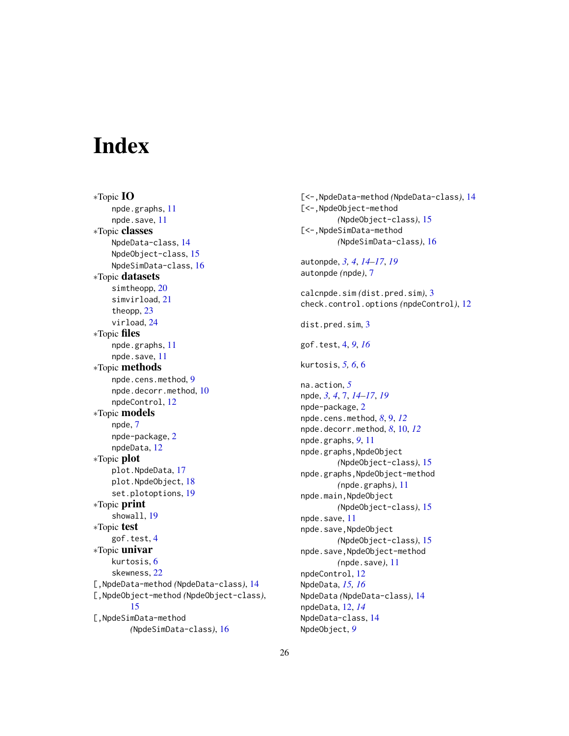## <span id="page-25-0"></span>**Index**

∗Topic IO npde.graphs, [11](#page-10-0) npde.save, [11](#page-10-0) ∗Topic classes NpdeData-class, [14](#page-13-0) NpdeObject-class, [15](#page-14-0) NpdeSimData-class, [16](#page-15-0) ∗Topic datasets simtheopp, [20](#page-19-0) simvirload, [21](#page-20-0) theopp, [23](#page-22-0) virload, [24](#page-23-0) ∗Topic files npde.graphs, [11](#page-10-0) npde.save, [11](#page-10-0) ∗Topic methods npde.cens.method, [9](#page-8-0) npde.decorr.method, [10](#page-9-0) npdeControl, [12](#page-11-0) ∗Topic models npde, [7](#page-6-0) npde-package, [2](#page-1-0) npdeData, [12](#page-11-0) ∗Topic plot plot.NpdeData, [17](#page-16-0) plot.NpdeObject, [18](#page-17-0) set.plotoptions, [19](#page-18-0) ∗Topic print showall, [19](#page-18-0) ∗Topic test gof.test, [4](#page-3-0) ∗Topic univar kurtosis, [6](#page-5-0) skewness, [22](#page-21-0) [,NpdeData-method *(*NpdeData-class*)*, [14](#page-13-0) [,NpdeObject-method *(*NpdeObject-class*)*, [15](#page-14-0) [,NpdeSimData-method *(*NpdeSimData-class*)*, [16](#page-15-0)

[<-,NpdeData-method *(*NpdeData-class*)*, [14](#page-13-0) [<-,NpdeObject-method *(*NpdeObject-class*)*, [15](#page-14-0) [<-,NpdeSimData-method *(*NpdeSimData-class*)*, [16](#page-15-0) autonpde, *[3,](#page-2-0) [4](#page-3-0)*, *[14](#page-13-0)[–17](#page-16-0)*, *[19](#page-18-0)* autonpde *(*npde*)*, [7](#page-6-0) calcnpde.sim *(*dist.pred.sim*)*, [3](#page-2-0) check.control.options *(*npdeControl*)*, [12](#page-11-0) dist.pred.sim, [3](#page-2-0) gof.test, [4,](#page-3-0) *[9](#page-8-0)*, *[16](#page-15-0)* kurtosis, *[5,](#page-4-0) [6](#page-5-0)*, [6](#page-5-0) na.action, *[5](#page-4-0)* npde, *[3,](#page-2-0) [4](#page-3-0)*, [7,](#page-6-0) *[14](#page-13-0)[–17](#page-16-0)*, *[19](#page-18-0)* npde-package, [2](#page-1-0) npde.cens.method, *[8](#page-7-0)*, [9,](#page-8-0) *[12](#page-11-0)* npde.decorr.method, *[8](#page-7-0)*, [10,](#page-9-0) *[12](#page-11-0)* npde.graphs, *[9](#page-8-0)*, [11](#page-10-0) npde.graphs,NpdeObject *(*NpdeObject-class*)*, [15](#page-14-0) npde.graphs,NpdeObject-method *(*npde.graphs*)*, [11](#page-10-0) npde.main,NpdeObject *(*NpdeObject-class*)*, [15](#page-14-0) npde.save, [11](#page-10-0) npde.save,NpdeObject *(*NpdeObject-class*)*, [15](#page-14-0) npde.save,NpdeObject-method *(*npde.save*)*, [11](#page-10-0) npdeControl, [12](#page-11-0) NpdeData, *[15,](#page-14-0) [16](#page-15-0)* NpdeData *(*NpdeData-class*)*, [14](#page-13-0) npdeData, [12,](#page-11-0) *[14](#page-13-0)* NpdeData-class, [14](#page-13-0) NpdeObject, *[9](#page-8-0)*